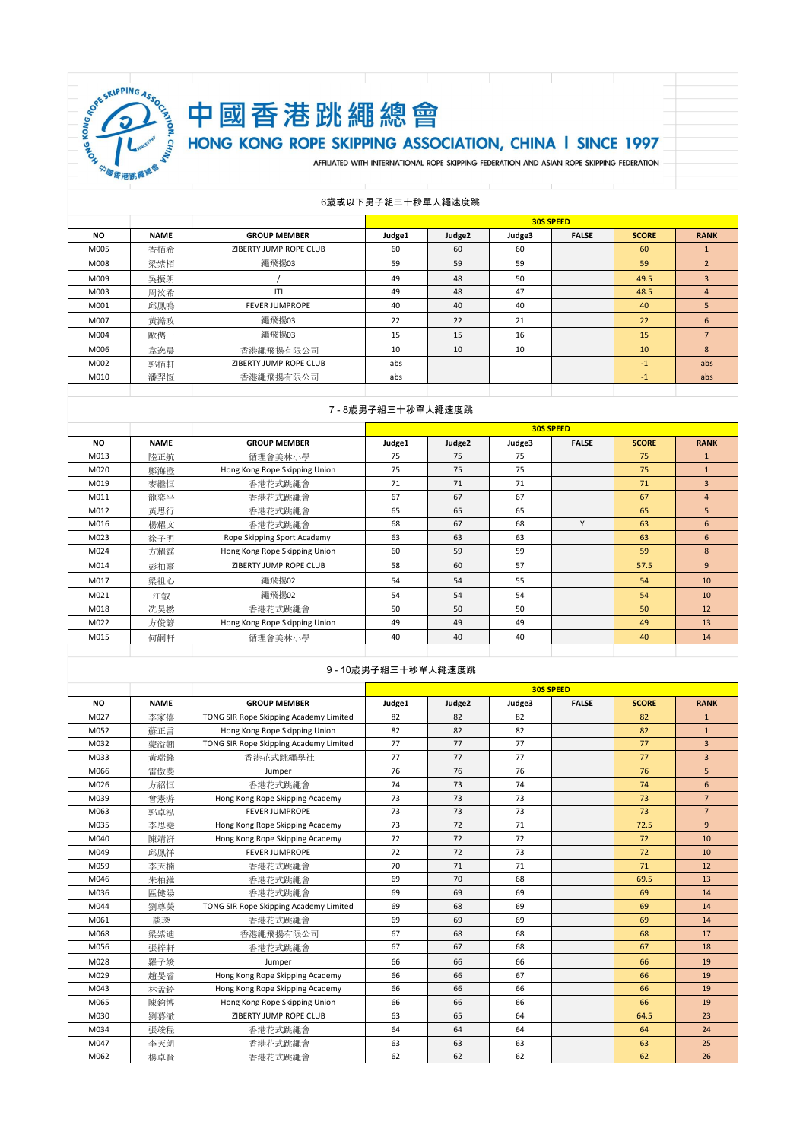

# 中國香港跳繩總會

# HONG KONG ROPE SKIPPING ASSOCIATION, CHINA I SINCE 1997

AFFILIATED WITH INTERNATIONAL ROPE SKIPPING FEDERATION AND ASIAN ROPE SKIPPING FEDERATION

#### 6歲或以下男子組三十秒單人繩速度跳

|           |             |                        |        |        |        | <b>30S SPEED</b> |              |                |
|-----------|-------------|------------------------|--------|--------|--------|------------------|--------------|----------------|
| <b>NO</b> | <b>NAME</b> | <b>GROUP MEMBER</b>    | Judge1 | Judge2 | Judge3 | <b>FALSE</b>     | <b>SCORE</b> | <b>RANK</b>    |
| M005      | 香栢希         | ZIBERTY JUMP ROPE CLUB | 60     | 60     | 60     |                  | 60           |                |
| M008      | 梁紫栢         | 繩飛揚03                  | 59     | 59     | 59     |                  | 59           | $\overline{2}$ |
| M009      | 吳振朗         |                        | 49     | 48     | 50     |                  | 49.5         | 3              |
| M003      | 周汶希         | JTI                    | 49     | 48     | 47     |                  | 48.5         | $\overline{4}$ |
| M001      | 邱鳳鳴         | <b>FEVER JUMPROPE</b>  | 40     | 40     | 40     |                  | 40           | 5              |
| M007      | 黃澔政         | 繩飛揚03                  | 22     | 22     | 21     |                  | 22           | 6              |
| M004      | 歐儁一         | 繩飛揚03                  | 15     | 15     | 16     |                  | 15           |                |
| M006      | 韋逸晨         | 香港繩飛揚有限公司              | 10     | 10     | 10     |                  | 10           | 8              |
| M002      | 郭栢軒         | ZIBERTY JUMP ROPE CLUB | abs    |        |        |                  | $-1$         | abs            |
| M010      | 潘羿恆         | 香港繩飛揚有限公司              | abs    |        |        |                  | $-1$         | abs            |
|           |             |                        |        |        |        |                  |              |                |

#### 7 - 8歲男子組三十秒單人繩速度跳

|           |             |                               |        |        |        | <b>30S SPEED</b> |              |                |
|-----------|-------------|-------------------------------|--------|--------|--------|------------------|--------------|----------------|
| <b>NO</b> | <b>NAME</b> | <b>GROUP MEMBER</b>           | Judge1 | Judge2 | Judge3 | <b>FALSE</b>     | <b>SCORE</b> | <b>RANK</b>    |
| M013      | 陸正航         | 循理會美林小學                       | 75     | 75     | 75     |                  | 75           | $\mathbf{1}$   |
| M020      | 鄭海澄         | Hong Kong Rope Skipping Union | 75     | 75     | 75     |                  | 75           | $\mathbf{1}$   |
| M019      | 麥繼恒         | 香港花式跳繩會                       | 71     | 71     | 71     |                  | 71           | $\overline{3}$ |
| M011      | 龍奕平         | 香港花式跳繩會                       | 67     | 67     | 67     |                  | 67           | $\overline{4}$ |
| M012      | 黄思行         | 香港花式跳繩會                       | 65     | 65     | 65     |                  | 65           | 5              |
| M016      | 楊耀文         | 香港花式跳繩會                       | 68     | 67     | 68     | Y                | 63           | 6              |
| M023      | 徐子明         | Rope Skipping Sport Academy   | 63     | 63     | 63     |                  | 63           | 6              |
| M024      | 方耀霆         | Hong Kong Rope Skipping Union | 60     | 59     | 59     |                  | 59           | 8              |
| M014      | 彭柏熹         | ZIBERTY JUMP ROPE CLUB        | 58     | 60     | 57     |                  | 57.5         | $\overline{9}$ |
| M017      | 梁祖心         | 繩飛揚02                         | 54     | 54     | 55     |                  | 54           | 10             |
| M021      | 江叡          | 繩飛揚02                         | 54     | 54     | 54     |                  | 54           | 10             |
| M018      | 冼昊橪         | 香港花式跳繩會                       | 50     | 50     | 50     |                  | 50           | 12             |
| M022      | 方俊諺         | Hong Kong Rope Skipping Union | 49     | 49     | 49     |                  | 49           | 13             |
| M015      | 何嗣軒         | 循理會美林小學                       | 40     | 40     | 40     |                  | 40           | 14             |
|           |             |                               |        |        |        |                  |              |                |

#### 9 - 10歲男子組三十秒單人繩速度跳

|           |             |                                        | <b>30S SPEED</b> |        |        |              |              |                 |  |
|-----------|-------------|----------------------------------------|------------------|--------|--------|--------------|--------------|-----------------|--|
| <b>NO</b> | <b>NAME</b> | <b>GROUP MEMBER</b>                    | Judge1           | Judge2 | Judge3 | <b>FALSE</b> | <b>SCORE</b> | <b>RANK</b>     |  |
| M027      | 李家僖         | TONG SIR Rope Skipping Academy Limited | 82               | 82     | 82     |              | 82           | $\mathbf{1}$    |  |
| M052      | 蘇正言         | Hong Kong Rope Skipping Union          | 82               | 82     | 82     |              | 82           | $\mathbf{1}$    |  |
| M032      | 蒙溢翹         | TONG SIR Rope Skipping Academy Limited | 77               | 77     | 77     |              | 77           | $\overline{3}$  |  |
| M033      | 黃瑞鋒         | 香港花式跳繩學社                               | 77               | 77     | 77     |              | 77           | $\overline{3}$  |  |
| M066      | 雷傲斐         | Jumper                                 | 76               | 76     | 76     |              | 76           | 5               |  |
| M026      | 方紹恒         | 香港花式跳繩會                                | 74               | 73     | 74     |              | 74           | 6               |  |
| M039      | 曾憲游         | Hong Kong Rope Skipping Academy        | 73               | 73     | 73     |              | 73           | 7 <sup>7</sup>  |  |
| M063      | 郭卓泓         | <b>FEVER JUMPROPE</b>                  | 73               | 73     | 73     |              | 73           | $7\overline{ }$ |  |
| M035      | 李思堯         | Hong Kong Rope Skipping Academy        | 73               | 72     | 71     |              | 72.5         | $\overline{9}$  |  |
| M040      | 陳靖汧         | Hong Kong Rope Skipping Academy        | 72               | 72     | 72     |              | 72           | 10              |  |
| M049      | 邱鳳祥         | <b>FEVER JUMPROPE</b>                  | 72               | 72     | 73     |              | 72           | 10              |  |
| M059      | 李天楠         | 香港花式跳繩會                                | 70               | 71     | 71     |              | 71           | 12              |  |
| M046      | 朱柏維         | 香港花式跳繩會                                | 69               | 70     | 68     |              | 69.5         | 13              |  |
| M036      | 區健陽         | 香港花式跳繩會                                | 69               | 69     | 69     |              | 69           | 14              |  |
| M044      | 劉尊榮         | TONG SIR Rope Skipping Academy Limited | 69               | 68     | 69     |              | 69           | 14              |  |
| M061      | 談琛          | 香港花式跳繩會                                | 69               | 69     | 69     |              | 69           | 14              |  |
| M068      | 梁紫迪         | 香港繩飛揚有限公司                              | 67               | 68     | 68     |              | 68           | 17              |  |
| M056      | 張梓軒         | 香港花式跳繩會                                | 67               | 67     | 68     |              | 67           | 18              |  |
| M028      | 羅子竣         | Jumper                                 | 66               | 66     | 66     |              | 66           | 19              |  |
| M029      | 趙旻睿         | Hong Kong Rope Skipping Academy        | 66               | 66     | 67     |              | 66           | 19              |  |
| M043      | 林孟錡         | Hong Kong Rope Skipping Academy        | 66               | 66     | 66     |              | 66           | 19              |  |
| M065      | 陳鈞博         | Hong Kong Rope Skipping Union          | 66               | 66     | 66     |              | 66           | 19              |  |
| M030      | 劉慕澈         | ZIBERTY JUMP ROPE CLUB                 | 63               | 65     | 64     |              | 64.5         | 23              |  |
| M034      | 張竣程         | 香港花式跳繩會                                | 64               | 64     | 64     |              | 64           | 24              |  |
| M047      | 李天朗         | 香港花式跳繩會                                | 63               | 63     | 63     |              | 63           | 25              |  |
| M062      | 楊卓賢         | 香港花式跳繩會                                | 62               | 62     | 62     |              | 62           | 26              |  |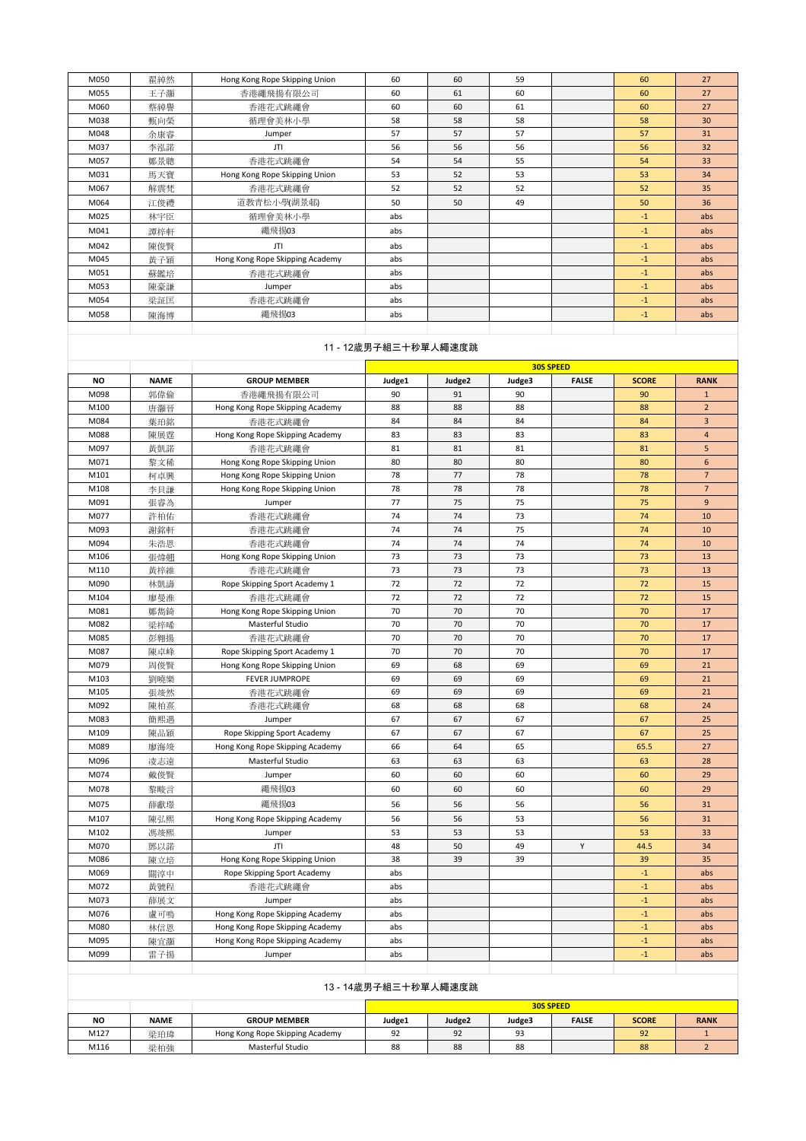| M050 | 翟綽然 | Hong Kong Rope Skipping Union   | 60  | 60 | 59 | 60   | 27  |
|------|-----|---------------------------------|-----|----|----|------|-----|
| M055 | 王子灝 | 香港繩飛揚有限公司                       | 60  | 61 | 60 | 60   | 27  |
| M060 | 蔡綽譽 | 香港花式跳繩會                         | 60  | 60 | 61 | 60   | 27  |
| M038 | 甄向榮 | 循理會美林小學                         | 58  | 58 | 58 | 58   | 30  |
| M048 | 余康睿 | Jumper                          | 57  | 57 | 57 | 57   | 31  |
| M037 | 李泓諾 | JTI                             | 56  | 56 | 56 | 56   | 32  |
| M057 | 鄭景聰 | 香港花式跳繩會                         | 54  | 54 | 55 | 54   | 33  |
| M031 | 馬天寶 | Hong Kong Rope Skipping Union   | 53  | 52 | 53 | 53   | 34  |
| M067 | 解震梵 | 香港花式跳繩會                         | 52  | 52 | 52 | 52   | 35  |
| M064 | 江俊禮 | 道教青松小學(湖景邨)                     | 50  | 50 | 49 | 50   | 36  |
| M025 | 林宇臣 | 循理會美林小學                         | abs |    |    | $-1$ | abs |
| M041 | 譚梓軒 | 繩飛揚03                           | abs |    |    | $-1$ | abs |
| M042 | 陳俊賢 | JTI                             | abs |    |    | $-1$ | abs |
| M045 | 黃子穎 | Hong Kong Rope Skipping Academy | abs |    |    | $-1$ | abs |
| M051 | 蘇鑑培 | 香港花式跳繩會                         | abs |    |    | $-1$ | abs |
| M053 | 陳豪謙 | Jumper                          | abs |    |    | $-1$ | abs |
| M054 | 梁証匡 | 香港花式跳繩會                         | abs |    |    | $-1$ | abs |
| M058 | 陳海博 | 繩飛揚03                           | abs |    |    | $-1$ | abs |
|      |     |                                 |     |    |    |      |     |

# 11 - 12歲男子組三十秒單人繩速度跳

|           |             |                                 |        |        |        | <b>30S SPEED</b> |              |                 |
|-----------|-------------|---------------------------------|--------|--------|--------|------------------|--------------|-----------------|
| <b>NO</b> | <b>NAME</b> | <b>GROUP MEMBER</b>             | Judge1 | Judge2 | Judge3 | <b>FALSE</b>     | <b>SCORE</b> | <b>RANK</b>     |
| M098      | 郭偉倫         | 香港繩飛揚有限公司                       | 90     | 91     | 90     |                  | 90           | $1\,$           |
| M100      | 唐灝晉         | Hong Kong Rope Skipping Academy | 88     | 88     | 88     |                  | 88           | $\overline{2}$  |
| M084      | 葉珀銘         | 香港花式跳繩會                         | 84     | 84     | 84     |                  | 84           | $\overline{3}$  |
| M088      | 陳展霆         | Hong Kong Rope Skipping Academy | 83     | 83     | 83     |                  | 83           | $\overline{4}$  |
| M097      | 黃凱諾         | 香港花式跳繩會                         | 81     | 81     | 81     |                  | 81           | $\overline{5}$  |
| M071      | 黎文稀         | Hong Kong Rope Skipping Union   | 80     | 80     | 80     |                  | 80           | 6               |
| M101      | 柯卓興         | Hong Kong Rope Skipping Union   | 78     | 77     | 78     |                  | 78           | $7\overline{ }$ |
| M108      | 李貝謙         | Hong Kong Rope Skipping Union   | 78     | 78     | 78     |                  | 78           | $\overline{7}$  |
| M091      | 張睿為         | Jumper                          | 77     | 75     | 75     |                  | 75           | $\overline{9}$  |
| M077      | 許柏佑         | 香港花式跳繩會                         | 74     | 74     | 73     |                  | 74           | 10              |
| M093      | 謝銘軒         | 香港花式跳繩會                         | 74     | 74     | 75     |                  | 74           | 10              |
| M094      | 朱浩恩         | 香港花式跳繩會                         | 74     | 74     | 74     |                  | 74           | 10              |
| M106      | 張煒翹         | Hong Kong Rope Skipping Union   | 73     | 73     | 73     |                  | 73           | 13              |
| M110      | 黃梓維         | 香港花式跳繩會                         | 73     | 73     | 73     |                  | 73           | 13              |
| M090      | 林凱濤         | Rope Skipping Sport Academy 1   | 72     | 72     | 72     |                  | 72           | 15              |
| M104      | 廖曼淮         | 香港花式跳繩會                         | 72     | 72     | 72     |                  | 72           | 15              |
| M081      | 鄭雋錡         | Hong Kong Rope Skipping Union   | 70     | 70     | 70     |                  | 70           | 17              |
| M082      | 梁梓唏         | Masterful Studio                | 70     | 70     | 70     |                  | 70           | 17              |
| M085      | 彭翱揚         | 香港花式跳繩會                         | 70     | 70     | 70     |                  | 70           | 17              |
| M087      | 陳卓峰         | Rope Skipping Sport Academy 1   | 70     | 70     | 70     |                  | 70           | 17              |
| M079      | 周俊賢         | Hong Kong Rope Skipping Union   | 69     | 68     | 69     |                  | 69           | 21              |
| M103      | 劉曉樂         | <b>FEVER JUMPROPE</b>           | 69     | 69     | 69     |                  | 69           | 21              |
| M105      | 張竣然         | 香港花式跳繩會                         | 69     | 69     | 69     |                  | 69           | 21              |
| M092      | 陳柏熹         | 香港花式跳繩會                         | 68     | 68     | 68     |                  | 68           | 24              |
| M083      | 簡熙遇         | Jumper                          | 67     | 67     | 67     |                  | 67           | 25              |
| M109      | 陳品穎         | Rope Skipping Sport Academy     | 67     | 67     | 67     |                  | 67           | 25              |
| M089      | 廖海竣         | Hong Kong Rope Skipping Academy | 66     | 64     | 65     |                  | 65.5         | 27              |
| M096      | 凌志遠         | Masterful Studio                | 63     | 63     | 63     |                  | 63           | 28              |
| M074      | 戴俊賢         | Jumper                          | 60     | 60     | 60     |                  | 60           | 29              |
| M078      | 黎畯言         | 繩飛揚03                           | 60     | 60     | 60     |                  | 60           | 29              |
| M075      | 薛獻璟         | 繩飛揚03                           | 56     | 56     | 56     |                  | 56           | 31              |
| M107      | 陳弘熙         | Hong Kong Rope Skipping Academy | 56     | 56     | 53     |                  | 56           | 31              |
| M102      | 馮竣熙         | Jumper                          | 53     | 53     | 53     |                  | 53           | 33              |
| M070      | 鄧以諾         | JTI                             | 48     | 50     | 49     | Y                | 44.5         | 34              |
| M086      | 陳立培         | Hong Kong Rope Skipping Union   | 38     | 39     | 39     |                  | 39           | 35              |
| M069      | 關淳中         | Rope Skipping Sport Academy     | abs    |        |        |                  | $-1$         | abs             |
| M072      | 黃號程         | 香港花式跳繩會                         | abs    |        |        |                  | $-1$         | abs             |
| M073      | 薛展文         | Jumper                          | abs    |        |        |                  | $-1$         | abs             |
| M076      | 盧可鳴         | Hong Kong Rope Skipping Academy | abs    |        |        |                  | $-1$         | abs             |
| M080      | 林信恩         | Hong Kong Rope Skipping Academy | abs    |        |        |                  | $-1$         | abs             |
| M095      | 陳宜灝         | Hong Kong Rope Skipping Academy | abs    |        |        |                  | $-1$         | abs             |
| M099      | 雷子揚         | Jumper                          | abs    |        |        |                  | $-1$         | abs             |
|           |             |                                 |        |        |        |                  |              |                 |

| 13 - 14歲男子組三十秒單人繩速度跳 |                  |                                 |        |        |        |              |              |             |
|----------------------|------------------|---------------------------------|--------|--------|--------|--------------|--------------|-------------|
|                      | <b>30S SPEED</b> |                                 |        |        |        |              |              |             |
| <b>NO</b>            | <b>NAME</b>      | <b>GROUP MEMBER</b>             | Judge1 | Judge2 | Judge3 | <b>FALSE</b> | <b>SCORE</b> | <b>RANK</b> |
| M127                 | 梁珀瑋              | Hong Kong Rope Skipping Academy | 92     | 92     | 93     |              | 92           |             |
| M116                 | 梁柏強              | Masterful Studio                | 88     | 88     | 88     |              | 88           |             |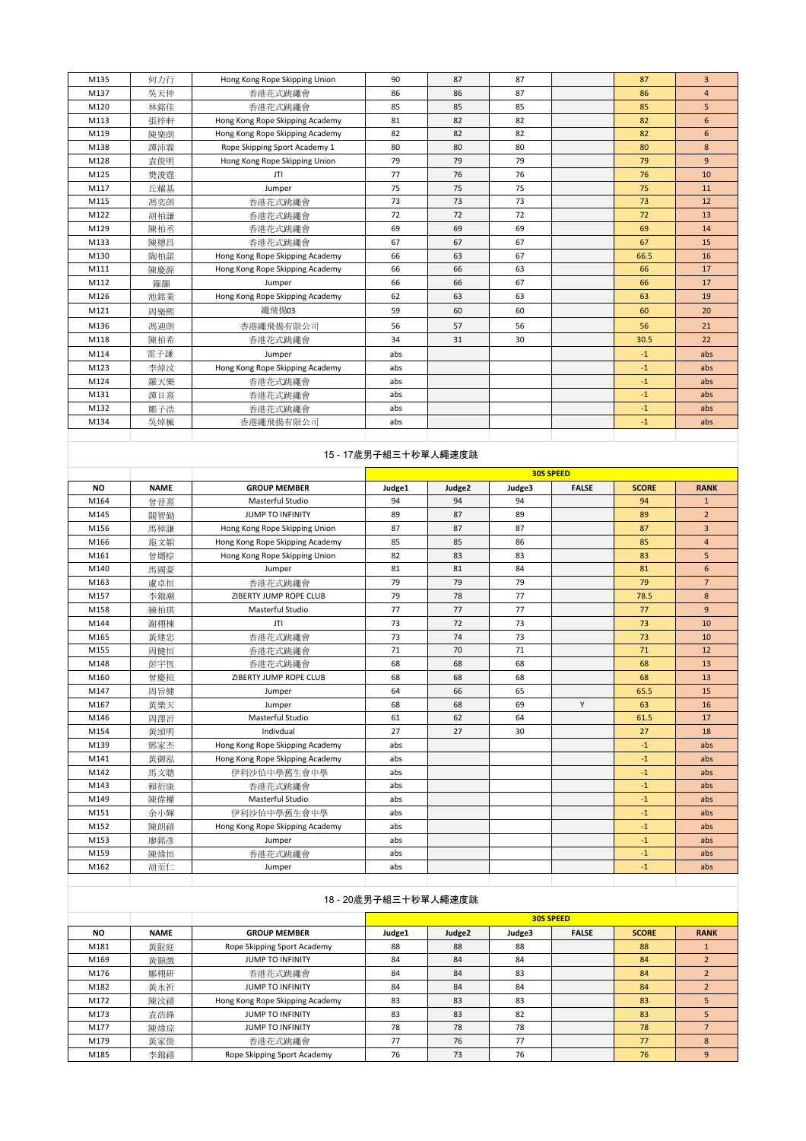| M135 | 何力行 | Hong Kong Rope Skipping Union   | 90  | 87 | 87 | 87   | $\overline{3}$ |
|------|-----|---------------------------------|-----|----|----|------|----------------|
| M137 | 吳天仲 | 香港花式跳繩會                         | 86  | 86 | 87 | 86   | $\overline{4}$ |
| M120 | 林銘佳 | 香港花式跳繩會                         | 85  | 85 | 85 | 85   | 5 <sup>1</sup> |
| M113 | 張梓軒 | Hong Kong Rope Skipping Academy | 81  | 82 | 82 | 82   | 6              |
| M119 | 陳樂朗 | Hong Kong Rope Skipping Academy | 82  | 82 | 82 | 82   | 6              |
| M138 | 譚沛霖 | Rope Skipping Sport Academy 1   | 80  | 80 | 80 | 80   | 8              |
| M128 | 袁俊明 | Hong Kong Rope Skipping Union   | 79  | 79 | 79 | 79   | $\overline{9}$ |
| M125 | 樊浚霆 | JTI                             | 77  | 76 | 76 | 76   | 10             |
| M117 | 丘耀基 | Jumper                          | 75  | 75 | 75 | 75   | 11             |
| M115 | 馮奕朗 | 香港花式跳繩會                         | 73  | 73 | 73 | 73   | 12             |
| M122 | 胡柏謙 | 香港花式跳繩會                         | 72  | 72 | 72 | 72   | 13             |
| M129 | 陳柏丞 | 香港花式跳繩會                         | 69  | 69 | 69 | 69   | 14             |
| M133 | 陳穗昌 | 香港花式跳繩會                         | 67  | 67 | 67 | 67   | 15             |
| M130 | 陶柏諾 | Hong Kong Rope Skipping Academy | 66  | 63 | 67 | 66.5 | 16             |
| M111 | 陳慶源 | Hong Kong Rope Skipping Academy | 66  | 66 | 63 | 66   | 17             |
| M112 | 羅灝  | Jumper                          | 66  | 66 | 67 | 66   | 17             |
| M126 | 池銘業 | Hong Kong Rope Skipping Academy | 62  | 63 | 63 | 63   | 19             |
| M121 | 周樂熙 | 繩飛揚03                           | 59  | 60 | 60 | 60   | 20             |
| M136 | 馮迪朗 | 香港繩飛揚有限公司                       | 56  | 57 | 56 | 56   | 21             |
| M118 | 陳柏希 | 香港花式跳繩會                         | 34  | 31 | 30 | 30.5 | 22             |
| M114 | 雷子謙 | Jumper                          | abs |    |    | $-1$ | abs            |
| M123 | 李焯汶 | Hong Kong Rope Skipping Academy | abs |    |    | $-1$ | abs            |
| M124 | 羅天樂 | 香港花式跳繩會                         | abs |    |    | $-1$ | abs            |
| M131 | 譚日熹 | 香港花式跳繩會                         | abs |    |    | $-1$ | abs            |
| M132 | 鄭子浩 | 香港花式跳繩會                         | abs |    |    | $-1$ | abs            |
| M134 | 吳焯楓 | 香港繩飛揚有限公司                       | abs |    |    | $-1$ | abs            |
|      |     |                                 |     |    |    |      |                |

|           |             |                                 | <b>30S SPEED</b> |        |        |              |              |                 |  |
|-----------|-------------|---------------------------------|------------------|--------|--------|--------------|--------------|-----------------|--|
| <b>NO</b> | <b>NAME</b> | <b>GROUP MEMBER</b>             | Judge1           | Judge2 | Judge3 | <b>FALSE</b> | <b>SCORE</b> | <b>RANK</b>     |  |
| M164      | 曾晉熹         | Masterful Studio                | 94               | 94     | 94     |              | 94           | $\mathbf{1}$    |  |
| M145      | 關智勤         | <b>JUMP TO INFINITY</b>         | 89               | 87     | 89     |              | 89           | $\overline{2}$  |  |
| M156      | 馬棹謙         | Hong Kong Rope Skipping Union   | 87               | 87     | 87     |              | 87           | $\overline{3}$  |  |
| M166      | 施文韜         | Hong Kong Rope Skipping Academy | 85               | 85     | 86     |              | 85           | $\overline{4}$  |  |
| M161      | 曾堋棕         | Hong Kong Rope Skipping Union   | 82               | 83     | 83     |              | 83           | 5               |  |
| M140      | 馬國豪         | Jumper                          | 81               | 81     | 84     |              | 81           | 6               |  |
| M163      | 盧卓恒         | 香港花式跳繩會                         | 79               | 79     | 79     |              | 79           | $7\overline{ }$ |  |
| M157      | 李錦潮         | ZIBERTY JUMP ROPE CLUB          | 79               | 78     | 77     |              | 78.5         | 8               |  |
| M158      | 練柏琪         | Masterful Studio                | 77               | 77     | 77     |              | 77           | $\overline{9}$  |  |
| M144      | 謝栩棟         | JTI                             | 73               | 72     | 73     |              | 73           | 10              |  |
| M165      | 黄建忠         | 香港花式跳繩會                         | 73               | 74     | 73     |              | 73           | 10              |  |
| M155      | 周健恒         | 香港花式跳繩會                         | 71               | 70     | 71     |              | 71           | 12              |  |
| M148      | 彭宇恆         | 香港花式跳繩會                         | 68               | 68     | 68     |              | 68           | 13              |  |
| M160      | 曾慶桓         | ZIBERTY JUMP ROPE CLUB          | 68               | 68     | 68     |              | 68           | 13              |  |
| M147      | 周旨健         | Jumper                          | 64               | 66     | 65     |              | 65.5         | 15              |  |
| M167      | 黃樂天         | Jumper                          | 68               | 68     | 69     | Y            | 63           | 16              |  |
| M146      | 周澤沂         | Masterful Studio                | 61               | 62     | 64     |              | 61.5         | 17              |  |
| M154      | 黃頌明         | Indivdual                       | 27               | 27     | 30     |              | 27           | 18              |  |
| M139      | 鄧家杰         | Hong Kong Rope Skipping Academy | abs              |        |        |              | $-1$         | abs             |  |
| M141      | 黃御泓         | Hong Kong Rope Skipping Academy | abs              |        |        |              | $-1$         | abs             |  |
| M142      | 馬文聰         | 伊利沙伯中學舊生會中學                     | abs              |        |        |              | $-1$         | abs             |  |
| M143      | 賴衍康         | 香港花式跳繩會                         | abs              |        |        |              | $-1$         | abs             |  |
| M149      | 陳偉權         | Masterful Studio                | abs              |        |        |              | $-1$         | abs             |  |
| M151      | 余小輝         | 伊利沙伯中學舊生會中學                     | abs              |        |        |              | $-1$         | abs             |  |
| M152      | 陳朗禧         | Hong Kong Rope Skipping Academy | abs              |        |        |              | $-1$         | abs             |  |
| M153      | 廖銘彥         | Jumper                          | abs              |        |        |              | $-1$         | abs             |  |
| M159      | 陳煒恒         | 香港花式跳繩會                         | abs              |        |        |              | $-1$         | abs             |  |
| M162      | 胡至仁         | Jumper                          | abs              |        |        |              | $-1$         | abs             |  |

|           |             |                                 |        | <b>30S SPEED</b>   |        |              |              |             |  |  |
|-----------|-------------|---------------------------------|--------|--------------------|--------|--------------|--------------|-------------|--|--|
| <b>NO</b> | <b>NAME</b> | <b>GROUP MEMBER</b>             | Judge1 | Judge <sub>2</sub> | Judge3 | <b>FALSE</b> | <b>SCORE</b> | <b>RANK</b> |  |  |
| M181      | 黃翋庭         | Rope Skipping Sport Academy     | 88     | 88                 | 88     |              | 88           |             |  |  |
| M169      | 黃顥澂         | <b>JUMP TO INFINITY</b>         | 84     | 84                 | 84     |              | 84           |             |  |  |
| M176      | 鄭栩研         | 香港花式跳繩會                         | 84     | 84                 | 83     |              | 84           |             |  |  |
| M182      | 黄永祈         | <b>JUMP TO INFINITY</b>         | 84     | 84                 | 84     |              | 84           |             |  |  |
| M172      | 陳汶禧         | Hong Kong Rope Skipping Academy | 83     | 83                 | 83     |              | 83           |             |  |  |
| M173      | 袁浩鋒         | <b>JUMP TO INFINITY</b>         | 83     | 83                 | 82     |              | 83           |             |  |  |
| M177      | 陳煒琮         | <b>JUMP TO INFINITY</b>         | 78     | 78                 | 78     |              | 78           |             |  |  |
| M179      | 黃家俊         | 香港花式跳繩會                         | 77     | 76                 | 77     |              | 77           | 8           |  |  |
| M185      | 李錦禧         | Rope Skipping Sport Academy     | 76     | 73                 | 76     |              | 76           | 9           |  |  |

# 18 - 20歲男子組三十秒單人繩速度跳